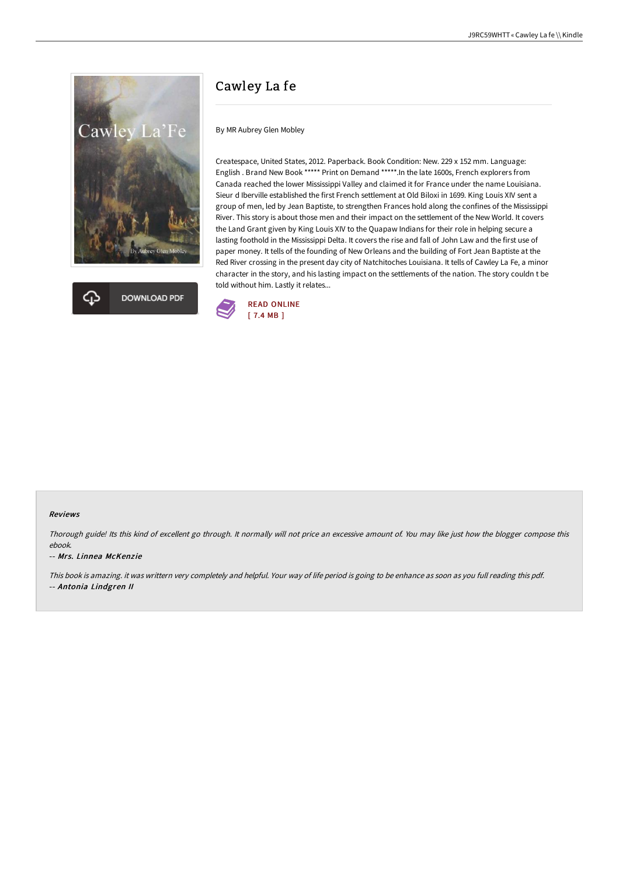



# Cawley La fe

By MR Aubrey Glen Mobley

Createspace, United States, 2012. Paperback. Book Condition: New. 229 x 152 mm. Language: English . Brand New Book \*\*\*\*\* Print on Demand \*\*\*\*\*. In the late 1600s, French explorers from Canada reached the lower Mississippi Valley and claimed it for France under the name Louisiana. Sieur d Iberville established the first French settlement at Old Biloxi in 1699. King Louis XIV sent a group of men, led by Jean Baptiste, to strengthen Frances hold along the confines of the Mississippi River. This story is about those men and their impact on the settlement of the New World. It covers the Land Grant given by King Louis XIV to the Quapaw Indians for their role in helping secure a lasting foothold in the Mississippi Delta. It covers the rise and fall of John Law and the first use of paper money. It tells of the founding of New Orleans and the building of Fort Jean Baptiste at the Red River crossing in the present day city of Natchitoches Louisiana. It tells of Cawley La Fe, a minor character in the story, and his lasting impact on the settlements of the nation. The story couldn t be told without him. Lastly it relates...



### Reviews

Thorough guide! Its this kind of excellent go through. It normally will not price an excessive amount of. You may like just how the blogger compose this ebook.

### -- Mrs. Linnea McKenzie

This book is amazing. it was writtern very completely and helpful. Your way of life period is going to be enhance as soon as you full reading this pdf. -- Antonia Lindgren II